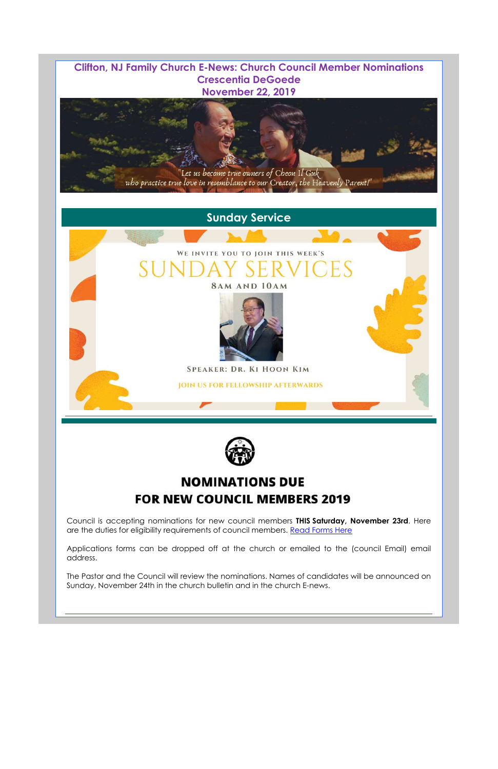**Clifton, NJ Family Church E-News: Church Council Member Nominations Crescentia DeGoede November 22, 2019**

Council is accepting nominations for new council members **THIS Saturday, November 23rd**. Here are the duties for eligibility requirements of council members. Read Forms Here

# **Sunday Service**

Applications forms can be dropped off at the church or emailed to the (council Email) email address.

# WE INVITE YOU TO JOIN THIS WEEK'S H. **8AM AND 10AM**



**SPEAKER: DR. KI HOON KIM** 

**JOIN US FOR FELLOWSHIP AFTERWARDS** AF 11<br>|<br>|



The Pastor and the Council will review the nominations. Names of candidates will be announced on Sunday, November 24th in the church bulletin and in the church E-news.



# **NOMINATIONS DUE FOR NEW COUNCIL MEMBERS 2019**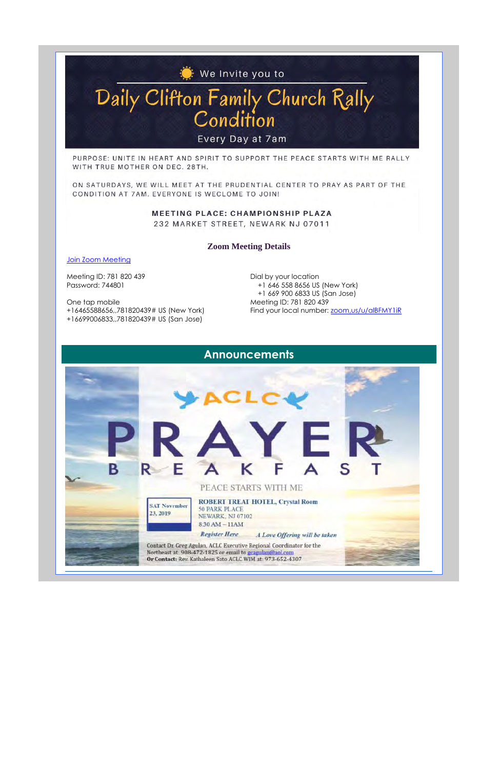#### **Zoom Meeting Details**

Join Zoom Meeting

Meeting ID: 781 820 439 Password: 744801

Dial by your location +1 646 558 8656 US (New York) +1 669 900 6833 US (San Jose) Meeting ID: 781 820 439 Find your local number: zoom,us/u/alBFMY1iR

One tap mobile

+16465588656,,781820439# US (New York)

+16699006833,,781820439# US (San Jose)

# **We Invite you to.**

# Daily Clifton Family Church Rally **Cond1t1on**

## **Announcements**

Every Day at 7am

PURPOSE: UNITE IN HEART AND SPIRIT TO SUPPORT THE PEACE STARTS WITH ME RALLY WITH TRUE MOTHER ON DEC. 28TH.

ON SATURDAYS, WE WILL MEET AT THE PRUDENTIAL CENTER TO PRAY AS PART OF THE CONDITION AT 7AM. EVERYONE IS WECLOME TO JOIN!

> **MEETING PLACE: CHAMPIONSHIP PLAZA**  232 MARKET STREET, NEWARK NJ 07011

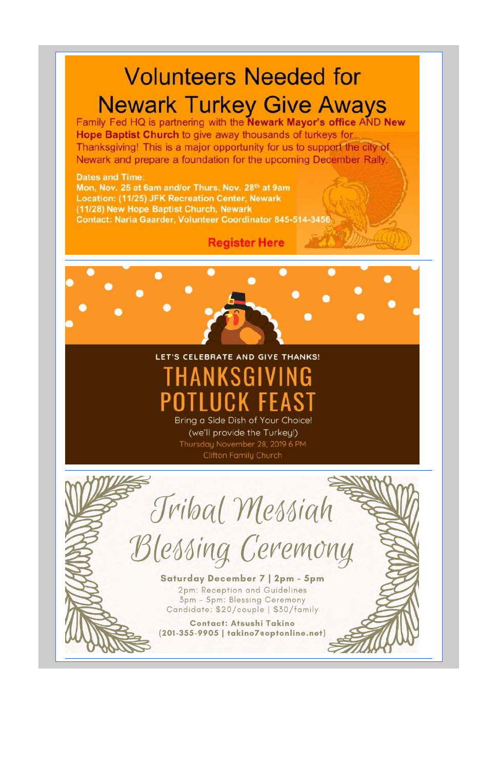# olunteers Needed for **Newark Turkey Give Aways**

Family Fed HQ is partnering with the Newark Mayor's office AND New Hope Baptist Church to give away thousands of turkeys for Thanksgiving! This is a major opportunity for us to support the city of Newark and prepare a foundation for the upcoming December Rally.

### **Dates and Time:**

Mon, Nov. 25 at 6am and/or Thurs. Nov. 28<sup>th</sup> at 9am **Location: (11/25) JFK Recreation Center, Newark** (11/28) New Hope Baptist Church, Newark Contact: Naria Gaarder, Volunteer Coordinator 845-514-3456

# **Register Here**

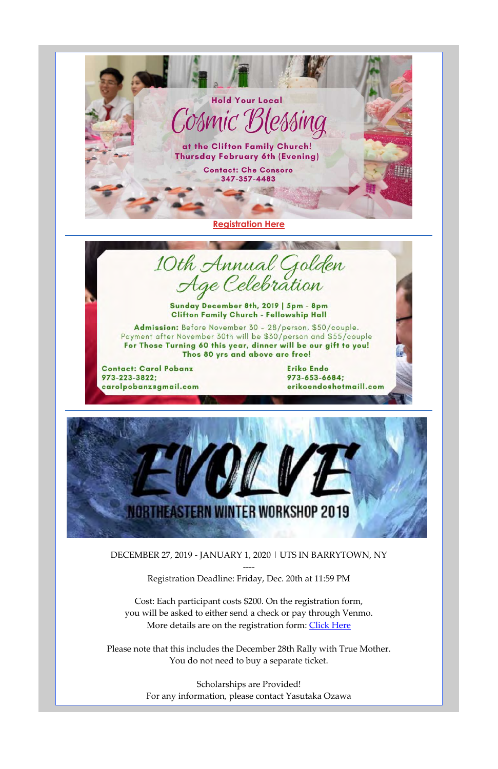DECEMBER 27, 2019 - JANUARY 1, 2020 | UTS IN BARRYTOWN, NY

Cost: Each participant costs \$200. On the registration form, you will be asked to either send a check or pay through Venmo. More details are on the registration form: Click Here

---- Registration Deadline: Friday, Dec. 20th at 11:59 PM

Please note that this includes the December 28th Rally with True Mother. You do not need to buy a separate ticket.

> Scholarships are Provided! For any information, please contact Yasutaka Ozawa

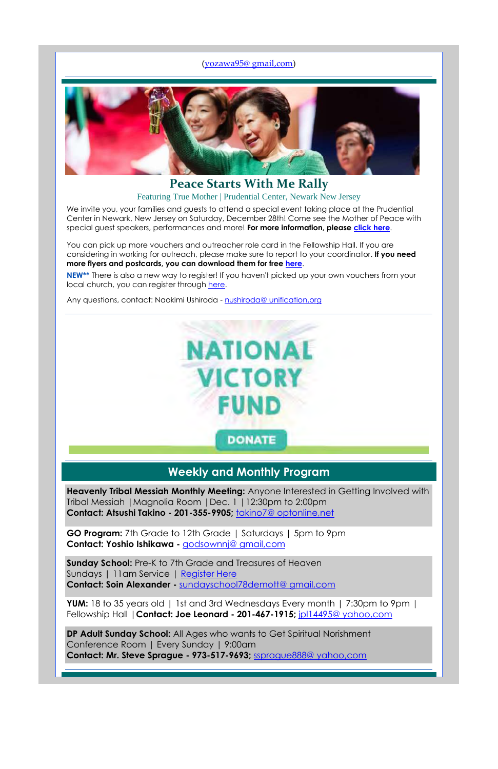### (yozawa95@ gmail,com)



**Peace Starts With Me Rally** Featuring True Mother | Prudential Center, Newark New Jersey

We invite you, your families and guests to attend a special event taking place at the Prudential Center in Newark, New Jersey on Saturday, December 28th! Come see the Mother of Peace with special guest speakers, performances and more! **For more information, please click here**.

You can pick up more vouchers and outreacher role card in the Fellowship Hall. If you are considering in working for outreach, please make sure to report to your coordinator. **If you need more flyers and postcards, you can download them for free here**.

Sundays | 11am Service | Register Here **Contact: Soin Alexander -** sundayschool78demott@ gmail,com

**NEW\*\*** There is also a new way to register! If you haven't picked up your own vouchers from your local church, you can register through here.

Any questions, contact: Naokimi Ushiroda - nushiroda@ unification,org



## **Weekly and Monthly Program**

**Heavenly Tribal Messiah Monthly Meeting:** Anyone Interested in Getting Involved with Tribal Messiah |Magnolia Room |Dec. 1 |12:30pm to 2:00pm **Contact: Atsushi Takino - 201-355-9905;** takino7@ optonline,net

**GO Program:** 7th Grade to 12th Grade | Saturdays | 5pm to 9pm **Contact: Yoshio Ishikawa -** godsownnj@ gmail,com

**Sunday School:** Pre-K to 7th Grade and Treasures of Heaven

**YUM:** 18 to 35 years old | 1st and 3rd Wednesdays Every month | 7:30pm to 9pm | Fellowship Hall |**Contact: Joe Leonard - 201-467-1915;** jpl14495@ yahoo,com

**DP Adult Sunday School:** All Ages who wants to Get Spiritual Norishment Conference Room | Every Sunday | 9:00am **Contact: Mr. Steve Sprague - 973-517-9693;** ssprague888@ yahoo,com